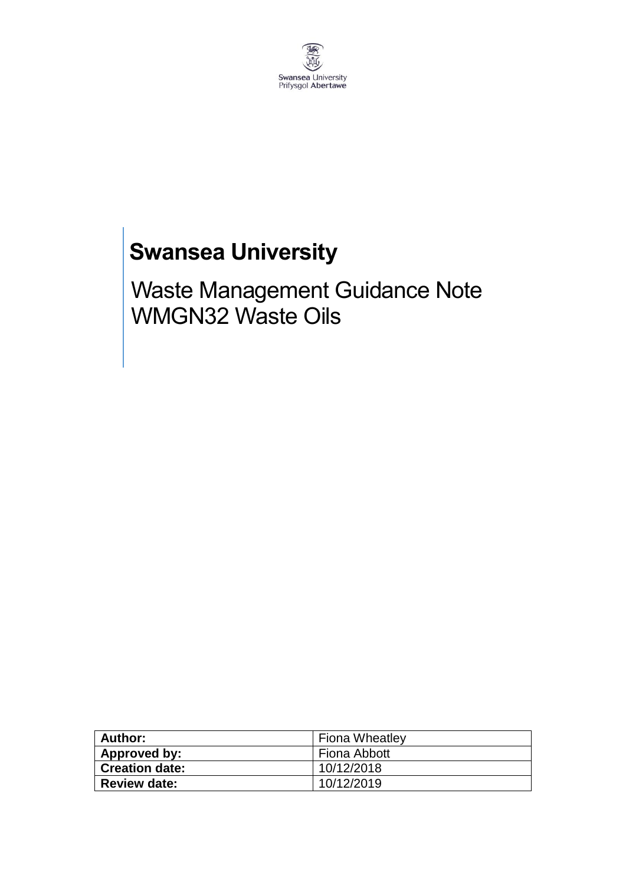

# **Swansea University**

Waste Management Guidance Note WMGN32 Waste Oils

| Author:               | <b>Fiona Wheatley</b> |  |
|-----------------------|-----------------------|--|
| Approved by:          | Fiona Abbott          |  |
| <b>Creation date:</b> | 10/12/2018            |  |
| <b>Review date:</b>   | 10/12/2019            |  |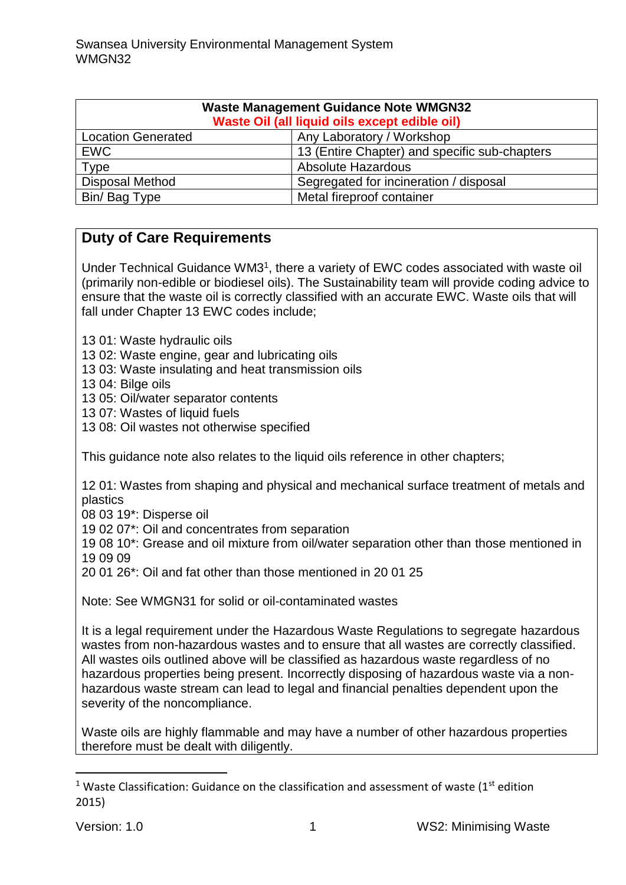| <b>Waste Management Guidance Note WMGN32</b><br>Waste Oil (all liquid oils except edible oil) |                                               |  |
|-----------------------------------------------------------------------------------------------|-----------------------------------------------|--|
| <b>Location Generated</b>                                                                     | Any Laboratory / Workshop                     |  |
| <b>EWC</b>                                                                                    | 13 (Entire Chapter) and specific sub-chapters |  |
| <b>Type</b>                                                                                   | <b>Absolute Hazardous</b>                     |  |
| <b>Disposal Method</b>                                                                        | Segregated for incineration / disposal        |  |
| Bin/ Bag Type                                                                                 | Metal fireproof container                     |  |

## **Duty of Care Requirements**

Under Technical Guidance WM3<sup>1</sup>, there a variety of EWC codes associated with waste oil (primarily non-edible or biodiesel oils). The Sustainability team will provide coding advice to ensure that the waste oil is correctly classified with an accurate EWC. Waste oils that will fall under Chapter 13 EWC codes include;

- 13 01: Waste hydraulic oils
- 13 02: Waste engine, gear and lubricating oils
- 13 03: Waste insulating and heat transmission oils
- 13 04: Bilge oils
- 13 05: Oil/water separator contents
- 13 07: Wastes of liquid fuels
- 13 08: Oil wastes not otherwise specified

This guidance note also relates to the liquid oils reference in other chapters;

12 01: Wastes from shaping and physical and mechanical surface treatment of metals and plastics

- 08 03 19\*: Disperse oil
- 19 02 07\*: Oil and concentrates from separation

19 08 10\*: Grease and oil mixture from oil/water separation other than those mentioned in 19 09 09

20 01 26\*: Oil and fat other than those mentioned in 20 01 25

Note: See WMGN31 for solid or oil-contaminated wastes

It is a legal requirement under the Hazardous Waste Regulations to segregate hazardous wastes from non-hazardous wastes and to ensure that all wastes are correctly classified. All wastes oils outlined above will be classified as hazardous waste regardless of no hazardous properties being present. Incorrectly disposing of hazardous waste via a nonhazardous waste stream can lead to legal and financial penalties dependent upon the severity of the noncompliance.

Waste oils are highly flammable and may have a number of other hazardous properties therefore must be dealt with diligently.

**.** 

<sup>&</sup>lt;sup>1</sup> Waste Classification: Guidance on the classification and assessment of waste ( $1<sup>st</sup>$  edition 2015)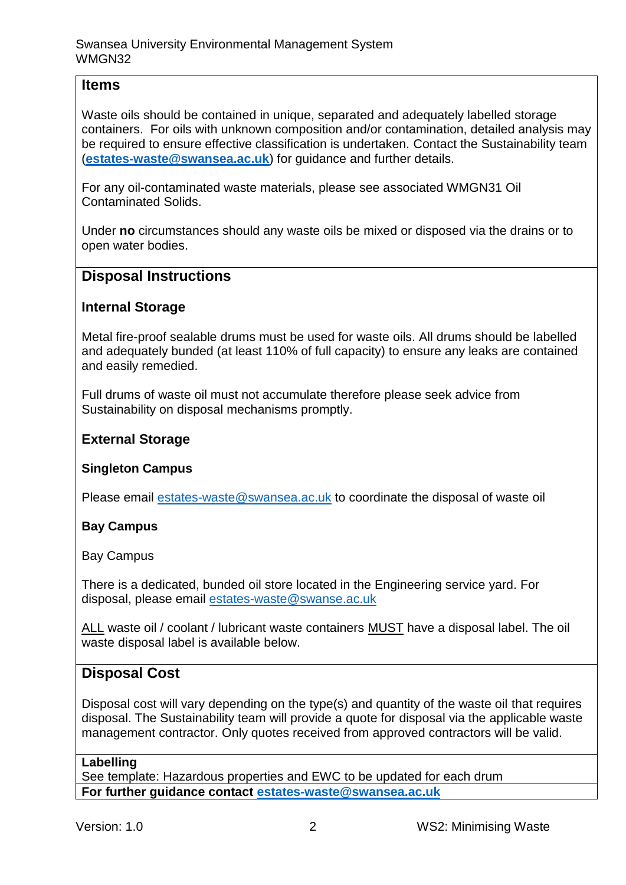### **Items**

Waste oils should be contained in unique, separated and adequately labelled storage containers. For oils with unknown composition and/or contamination, detailed analysis may be required to ensure effective classification is undertaken. Contact the Sustainability team (**[estates-waste@swansea.ac.uk](mailto:estates-waste@swansea.ac.uk)**) for guidance and further details.

For any oil-contaminated waste materials, please see associated WMGN31 Oil Contaminated Solids.

Under **no** circumstances should any waste oils be mixed or disposed via the drains or to open water bodies.

### **Disposal Instructions**

#### **Internal Storage**

Metal fire-proof sealable drums must be used for waste oils. All drums should be labelled and adequately bunded (at least 110% of full capacity) to ensure any leaks are contained and easily remedied.

Full drums of waste oil must not accumulate therefore please seek advice from Sustainability on disposal mechanisms promptly.

#### **External Storage**

#### **Singleton Campus**

Please email [estates-waste@swansea.ac.uk](mailto:estates-waste@swansea.ac.uk) to coordinate the disposal of waste oil

#### **Bay Campus**

Bay Campus

There is a dedicated, bunded oil store located in the Engineering service yard. For disposal, please email [estates-waste@swanse.ac.uk](mailto:estates-waste@swanse.ac.uk)

ALL waste oil / coolant / lubricant waste containers MUST have a disposal label. The oil waste disposal label is available below.

## **Disposal Cost**

Disposal cost will vary depending on the type(s) and quantity of the waste oil that requires disposal. The Sustainability team will provide a quote for disposal via the applicable waste management contractor. Only quotes received from approved contractors will be valid.

#### **Labelling**

See template: Hazardous properties and EWC to be updated for each drum **For further guidance contact [estates-waste@swansea.ac.uk](mailto:estates-waste@swansea.ac.uk)**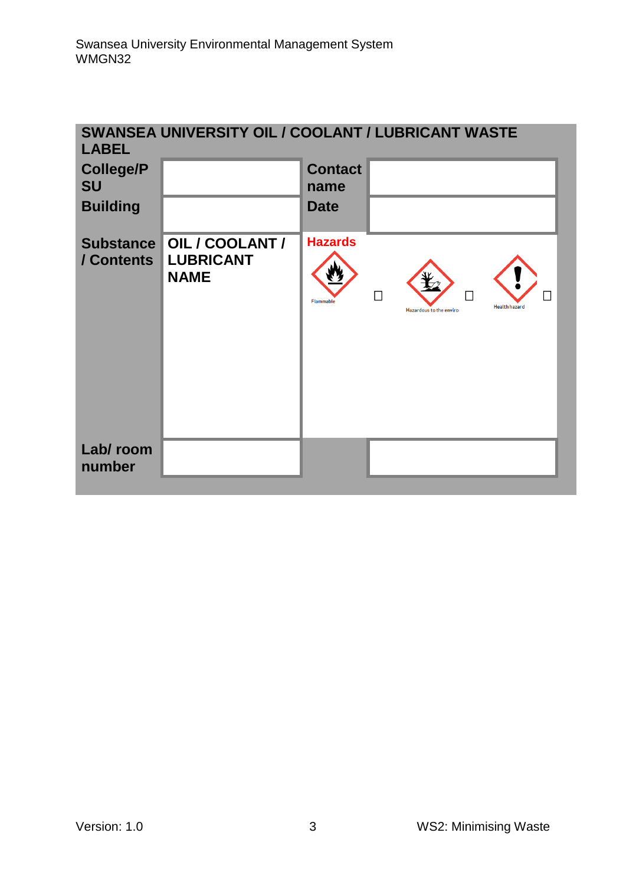| SWANSEA UNIVERSITY OIL / COOLANT / LUBRICANT WASTE<br><b>LABEL</b> |                                                 |                                    |                                                  |
|--------------------------------------------------------------------|-------------------------------------------------|------------------------------------|--------------------------------------------------|
| <b>College/P</b><br><b>SU</b>                                      |                                                 | <b>Contact</b><br>name             |                                                  |
| <b>Building</b>                                                    |                                                 | <b>Date</b>                        |                                                  |
| <b>Substance</b><br>/ Contents                                     | OIL/COOLANT/<br><b>LUBRICANT</b><br><b>NAME</b> | <b>Hazards</b><br><b>Flammable</b> | <b>Health hazard</b><br>Hazardous to the enviror |
| Lab/room<br>number                                                 |                                                 |                                    |                                                  |